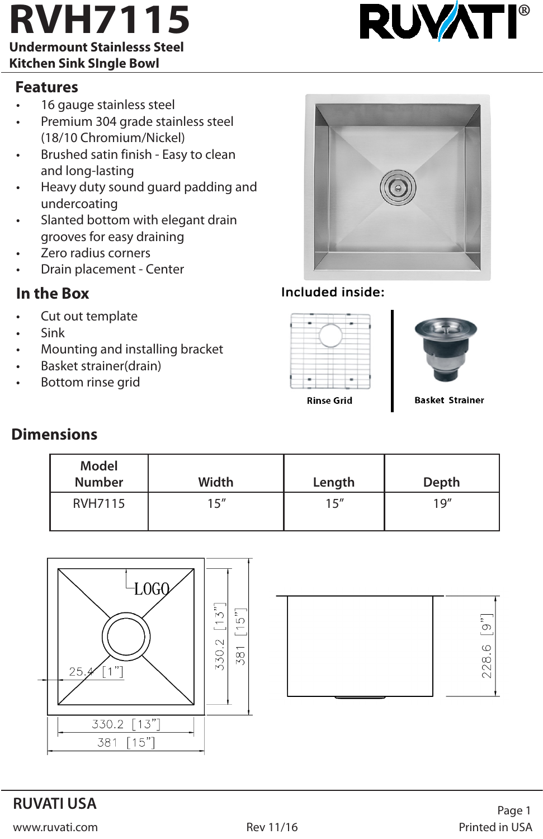### **Undermount Stainlesss Steel Kitchen Sink SIngle Bowl**

### **Features**

- 16 gauge stainless steel
- Premium 304 grade stainless steel (18/10 Chromium/Nickel)
- Brushed satin finish Easy to clean and long-lasting
- Heavy duty sound guard padding and undercoating
- Slanted bottom with elegant drain grooves for easy draining
- Zero radius corners
- Drain placement Center

## **In the Box**

- Cut out template
- Sink
- Mounting and installing bracket
- Basket strainer(drain)
- Bottom rinse grid



### Included inside:





**Rinse Grid** 

**Basket Strainer** 

# **Dimensions**

| Model<br><b>Number</b> | Width | Length | Depth |
|------------------------|-------|--------|-------|
| RVH7115                | 15''  | 15"    | 19''  |



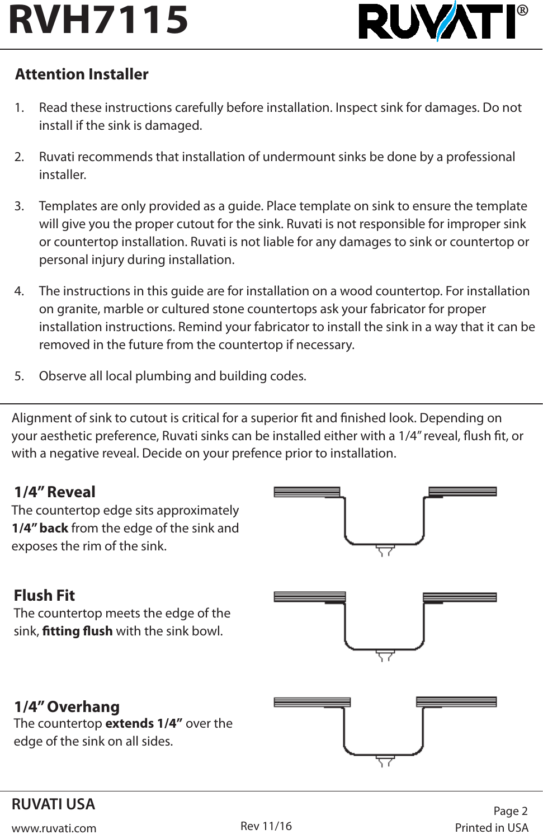

# **Attention Installer**

- 1. Read these instructions carefully before installation. Inspect sink for damages. Do not install if the sink is damaged.
- 2. Ruvati recommends that installation of undermount sinks be done by a professional installer.
- 3. Templates are only provided as a guide. Place template on sink to ensure the template will give you the proper cutout for the sink. Ruvati is not responsible for improper sink or countertop installation. Ruvati is not liable for any damages to sink or countertop or personal injury during installation.
- 4. The instructions in this guide are for installation on a wood countertop. For installation on granite, marble or cultured stone countertops ask your fabricator for proper installation instructions. Remind your fabricator to install the sink in a way that it can be removed in the future from the countertop if necessary.
- 5. Observe all local plumbing and building codes.

Alignment of sink to cutout is critical for a superior fit and finished look. Depending on your aesthetic preference, Ruvati sinks can be installed either with a 1/4" reveal, flush fit, or with a negative reveal. Decide on your prefence prior to installation.

## **1/4" Reveal**

The countertop edge sits approximately **1/4" back** from the edge of the sink and exposes the rim of the sink.



# **Flush Fit**

The countertop meets the edge of the sink, **fitting flush** with the sink bowl.



# **1/4" Overhang**

The countertop **extends 1/4"** over the edge of the sink on all sides.



# **RUVATI USA**

www.ruvati.com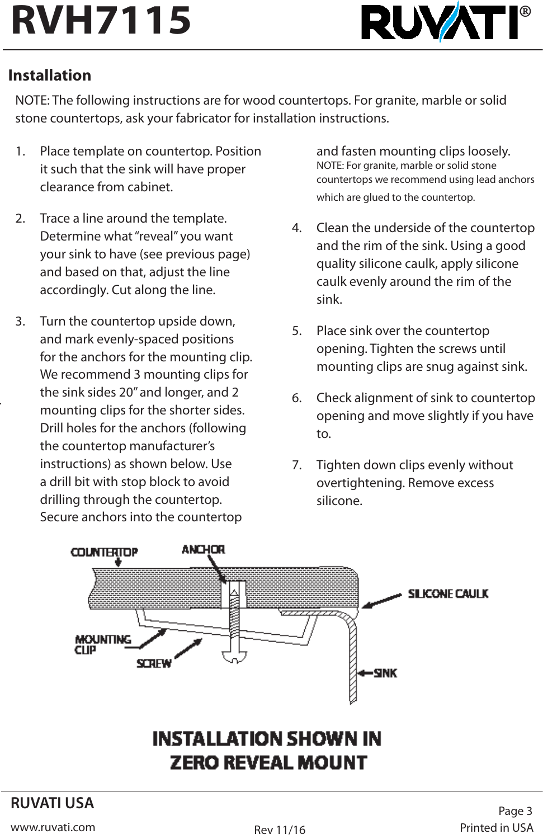

# **Installation**

NOTE: The following instructions are for wood countertops. For granite, marble or solid stone countertops, ask your fabricator for installation instructions.

- 1. Place template on countertop. Position it such that the sink will have proper clearance from cabinet.
- 2. Trace a line around the template. Determine what "reveal" you want your sink to have (see previous page) and based on that, adjust the line accordingly. Cut along the line.
- 3. Turn the countertop upside down, and mark evenly-spaced positions for the anchors for the mounting clip. We recommend 3 mounting clips for the sink sides 20" and longer, and 2 mounting clips for the shorter sides. Drill holes for the anchors (following the countertop manufacturer's instructions) as shown below. Use a drill bit with stop block to avoid drilling through the countertop. Secure anchors into the countertop

and fasten mounting clips loosely. NOTE: For granite, marble or solid stone countertops we recommend using lead anchors which are glued to the countertop.

- 4. Clean the underside of the countertop and the rim of the sink. Using a good quality silicone caulk, apply silicone caulk evenly around the rim of the sink.
- 5. Place sink over the countertop opening. Tighten the screws until mounting clips are snug against sink.
- 6. Check alignment of sink to countertop opening and move slightly if you have to.
- 7. Tighten down clips evenly without overtightening. Remove excess silicone.



# **INSTALLATION SHOWN IN ZERO REVEAL MOUNT**